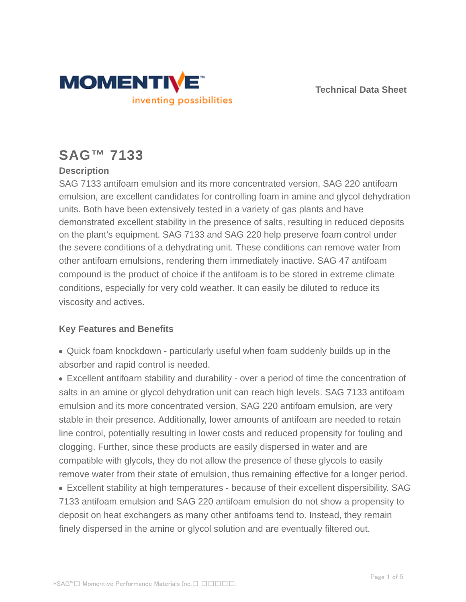



# **SAG™ 7133**

## **Description**

SAG 7133 antifoam emulsion and its more concentrated version, SAG 220 antifoam emulsion, are excellent candidates for controlling foam in amine and glycol dehydration units. Both have been extensively tested in a variety of gas plants and have demonstrated excellent stability in the presence of salts, resulting in reduced deposits on the plant's equipment. SAG 7133 and SAG 220 help preserve foam control under the severe conditions of a dehydrating unit. These conditions can remove water from other antifoam emulsions, rendering them immediately inactive. SAG 47 antifoam compound is the product of choice if the antifoam is to be stored in extreme climate conditions, especially for very cold weather. It can easily be diluted to reduce its viscosity and actives.

## **Key Features and Benefits**

Quick foam knockdown - particularly useful when foam suddenly builds up in the absorber and rapid control is needed.

Excellent antifoarn stability and durability - over a period of time the concentration of salts in an amine or glycol dehydration unit can reach high levels. SAG 7133 antifoam emulsion and its more concentrated version, SAG 220 antifoam emulsion, are very stable in their presence. Additionally, lower amounts of antifoam are needed to retain line control, potentially resulting in lower costs and reduced propensity for fouling and clogging. Further, since these products are easily dispersed in water and are compatible with glycols, they do not allow the presence of these glycols to easily remove water from their state of emulsion, thus remaining effective for a longer period. Excellent stability at high temperatures - because of their excellent dispersibility. SAG 7133 antifoam emulsion and SAG 220 antifoam emulsion do not show a propensity to deposit on heat exchangers as many other antifoams tend to. Instead, they remain finely dispersed in the amine or glycol solution and are eventually filtered out.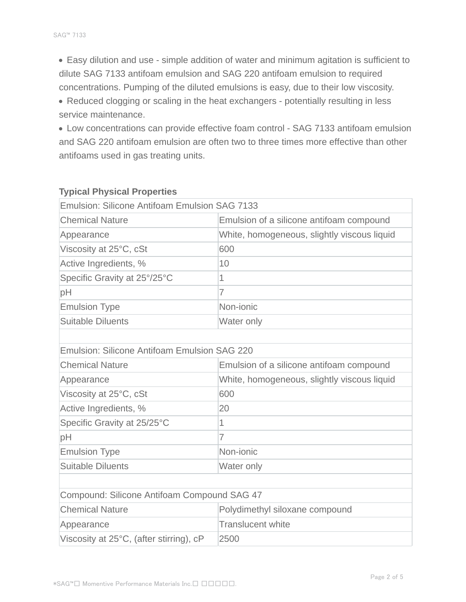Easy dilution and use - simple addition of water and minimum agitation is sufficient to dilute SAG 7133 antifoam emulsion and SAG 220 antifoam emulsion to required concentrations. Pumping of the diluted emulsions is easy, due to their low viscosity.

Reduced clogging or scaling in the heat exchangers - potentially resulting in less service maintenance.

Low concentrations can provide effective foam control - SAG 7133 antifoam emulsion and SAG 220 antifoam emulsion are often two to three times more effective than other antifoams used in gas treating units.

| <b>Emulsion: Silicone Antifoam Emulsion SAG 7133</b> |                                             |  |  |
|------------------------------------------------------|---------------------------------------------|--|--|
| <b>Chemical Nature</b>                               | Emulsion of a silicone antifoam compound    |  |  |
| Appearance                                           | White, homogeneous, slightly viscous liquid |  |  |
| Viscosity at 25°C, cSt                               | 600                                         |  |  |
| Active Ingredients, %                                | 10                                          |  |  |
| Specific Gravity at 25°/25°C                         | 1                                           |  |  |
| pH                                                   | $\overline{7}$                              |  |  |
| <b>Emulsion Type</b>                                 | Non-jonic                                   |  |  |
| <b>Suitable Diluents</b>                             | Water only                                  |  |  |
|                                                      |                                             |  |  |
| <b>Emulsion: Silicone Antifoam Emulsion SAG 220</b>  |                                             |  |  |
| <b>Chemical Nature</b>                               | Emulsion of a silicone antifoam compound    |  |  |
| Appearance                                           | White, homogeneous, slightly viscous liquid |  |  |
| Viscosity at 25°C, cSt                               | 600                                         |  |  |
| Active Ingredients, %                                | 20                                          |  |  |
| Specific Gravity at 25/25°C                          | 1                                           |  |  |
| pH                                                   | $\overline{7}$                              |  |  |
| <b>Emulsion Type</b>                                 | Non-ionic                                   |  |  |
| <b>Suitable Diluents</b>                             | Water only                                  |  |  |
|                                                      |                                             |  |  |
| Compound: Silicone Antifoam Compound SAG 47          |                                             |  |  |
| <b>Chemical Nature</b>                               | Polydimethyl siloxane compound              |  |  |
| Appearance                                           | <b>Translucent white</b>                    |  |  |
| Viscosity at 25°C, (after stirring), cP              | 2500                                        |  |  |
|                                                      |                                             |  |  |

### **Typical Physical Properties**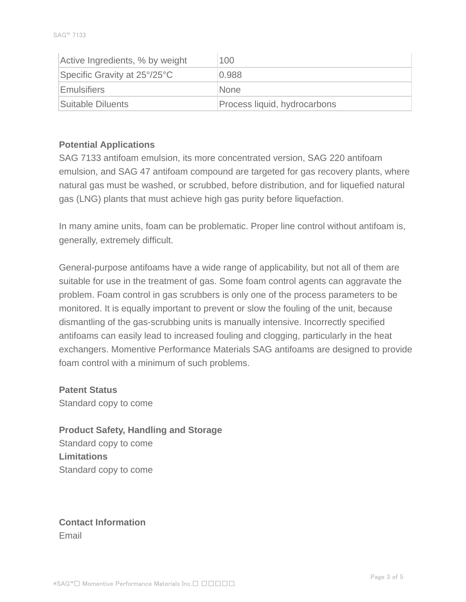| Active Ingredients, % by weight | 100                          |
|---------------------------------|------------------------------|
| Specific Gravity at 25°/25°C    | 0.988                        |
| Emulsifiers                     | <b>None</b>                  |
| Suitable Diluents               | Process liquid, hydrocarbons |

### **Potential Applications**

SAG 7133 antifoam emulsion, its more concentrated version, SAG 220 antifoam emulsion, and SAG 47 antifoam compound are targeted for gas recovery plants, where natural gas must be washed, or scrubbed, before distribution, and for liquefied natural gas (LNG) plants that must achieve high gas purity before liquefaction.

In many amine units, foam can be problematic. Proper line control without antifoam is, generally, extremely difficult.

General-purpose antifoams have a wide range of applicability, but not all of them are suitable for use in the treatment of gas. Some foam control agents can aggravate the problem. Foam control in gas scrubbers is only one of the process parameters to be monitored. It is equally important to prevent or slow the fouling of the unit, because dismantling of the gas-scrubbing units is manually intensive. Incorrectly specified antifoams can easily lead to increased fouling and clogging, particularly in the heat exchangers. Momentive Performance Materials SAG antifoams are designed to provide foam control with a minimum of such problems.

**Patent Status** Standard copy to come

**Product Safety, Handling and Storage** Standard copy to come **Limitations** Standard copy to come

**Contact Information** Email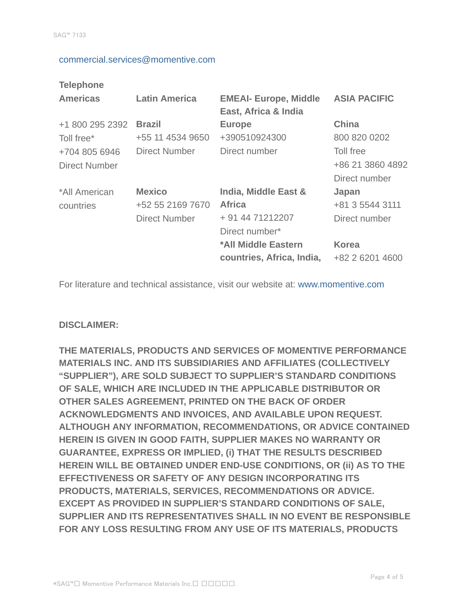#### commercial.services@momentive.com

#### **Telephone**

| <b>Americas</b>                       | <b>Latin America</b>                                      | <b>EMEAI- Europe, Middle</b><br>East, Africa & India                        | <b>ASIA PACIFIC</b>                            |
|---------------------------------------|-----------------------------------------------------------|-----------------------------------------------------------------------------|------------------------------------------------|
| +1 800 295 2392<br>Toll free*         | <b>Brazil</b><br>+55 11 4534 9650                         | <b>Europe</b><br>+390510924300                                              | <b>China</b><br>800 820 0202                   |
| +704 805 6946<br><b>Direct Number</b> | <b>Direct Number</b>                                      | Direct number                                                               | Toll free<br>+86 21 3860 4892<br>Direct number |
| *All American<br>countries            | <b>Mexico</b><br>+52 55 2169 7670<br><b>Direct Number</b> | India, Middle East &<br><b>Africa</b><br>+ 91 44 71212207<br>Direct number* | Japan<br>+81 3 5544 3111<br>Direct number      |
|                                       |                                                           | *All Middle Eastern<br>countries, Africa, India,                            | <b>Korea</b><br>+82 2 6201 4600                |

For literature and technical assistance, visit our website at: www.momentive.com

### **DISCLAIMER:**

**THE MATERIALS, PRODUCTS AND SERVICES OF MOMENTIVE PERFORMANCE MATERIALS INC. AND ITS SUBSIDIARIES AND AFFILIATES (COLLECTIVELY "SUPPLIER"), ARE SOLD SUBJECT TO SUPPLIER'S STANDARD CONDITIONS OF SALE, WHICH ARE INCLUDED IN THE APPLICABLE DISTRIBUTOR OR OTHER SALES AGREEMENT, PRINTED ON THE BACK OF ORDER ACKNOWLEDGMENTS AND INVOICES, AND AVAILABLE UPON REQUEST. ALTHOUGH ANY INFORMATION, RECOMMENDATIONS, OR ADVICE CONTAINED HEREIN IS GIVEN IN GOOD FAITH, SUPPLIER MAKES NO WARRANTY OR GUARANTEE, EXPRESS OR IMPLIED, (i) THAT THE RESULTS DESCRIBED HEREIN WILL BE OBTAINED UNDER END-USE CONDITIONS, OR (ii) AS TO THE EFFECTIVENESS OR SAFETY OF ANY DESIGN INCORPORATING ITS PRODUCTS, MATERIALS, SERVICES, RECOMMENDATIONS OR ADVICE. EXCEPT AS PROVIDED IN SUPPLIER'S STANDARD CONDITIONS OF SALE, SUPPLIER AND ITS REPRESENTATIVES SHALL IN NO EVENT BE RESPONSIBLE FOR ANY LOSS RESULTING FROM ANY USE OF ITS MATERIALS, PRODUCTS**